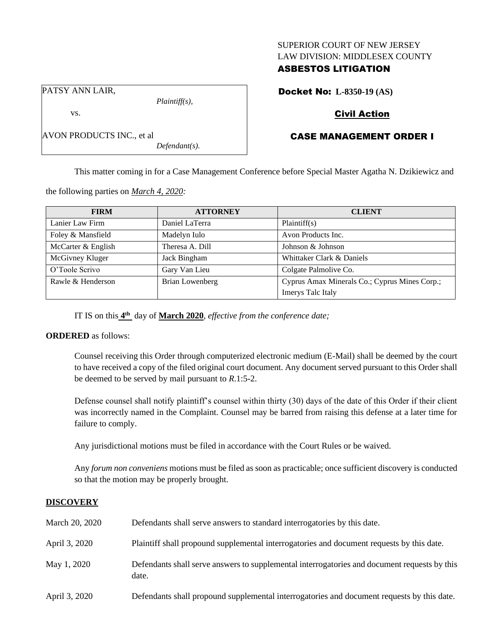## SUPERIOR COURT OF NEW JERSEY LAW DIVISION: MIDDLESEX COUNTY

# ASBESTOS LITIGATION

Docket No: **L-8350-19 (AS)**

PATSY ANN LAIR,

AVON PRODUCTS INC., et al

vs.

*Plaintiff(s),*

*Defendant(s).*

# Civil Action

# CASE MANAGEMENT ORDER I

This matter coming in for a Case Management Conference before Special Master Agatha N. Dzikiewicz and

the following parties on *March 4, 2020:*

| <b>FIRM</b>        | <b>ATTORNEY</b> | <b>CLIENT</b>                                 |
|--------------------|-----------------|-----------------------------------------------|
| Lanier Law Firm    | Daniel LaTerra  | Plaintiff(s)                                  |
| Foley & Mansfield  | Madelyn Iulo    | Avon Products Inc.                            |
| McCarter & English | Theresa A. Dill | Johnson & Johnson                             |
| McGivney Kluger    | Jack Bingham    | Whittaker Clark & Daniels                     |
| O'Toole Scrivo     | Gary Van Lieu   | Colgate Palmolive Co.                         |
| Rawle & Henderson  | Brian Lowenberg | Cyprus Amax Minerals Co.; Cyprus Mines Corp.; |
|                    |                 | Imerys Talc Italy                             |

IT IS on this  $4^{\text{th}}$  day of **March 2020**, *effective from the conference date*;

## **ORDERED** as follows:

Counsel receiving this Order through computerized electronic medium (E-Mail) shall be deemed by the court to have received a copy of the filed original court document. Any document served pursuant to this Order shall be deemed to be served by mail pursuant to *R*.1:5-2.

Defense counsel shall notify plaintiff's counsel within thirty (30) days of the date of this Order if their client was incorrectly named in the Complaint. Counsel may be barred from raising this defense at a later time for failure to comply.

Any jurisdictional motions must be filed in accordance with the Court Rules or be waived.

Any *forum non conveniens* motions must be filed as soon as practicable; once sufficient discovery is conducted so that the motion may be properly brought.

## **DISCOVERY**

| March 20, 2020 | Defendants shall serve answers to standard interrogatories by this date.                              |
|----------------|-------------------------------------------------------------------------------------------------------|
| April 3, 2020  | Plaintiff shall propound supplemental interrogatories and document requests by this date.             |
| May 1, 2020    | Defendants shall serve answers to supplemental interrogatories and document requests by this<br>date. |
| April 3, 2020  | Defendants shall propound supplemental interrogatories and document requests by this date.            |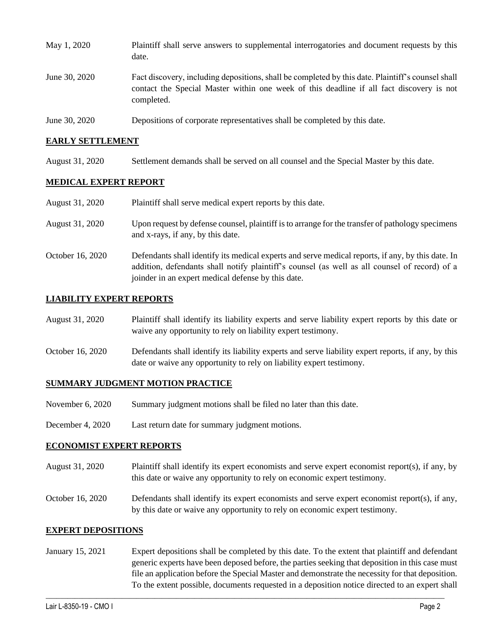| May 1, 2020   | Plaintiff shall serve answers to supplemental interrogatories and document requests by this<br>date.                                                                                                        |
|---------------|-------------------------------------------------------------------------------------------------------------------------------------------------------------------------------------------------------------|
| June 30, 2020 | Fact discovery, including depositions, shall be completed by this date. Plaintiff's counsel shall<br>contact the Special Master within one week of this deadline if all fact discovery is not<br>completed. |
| June 30, 2020 | Depositions of corporate representatives shall be completed by this date.                                                                                                                                   |

## **EARLY SETTLEMENT**

August 31, 2020 Settlement demands shall be served on all counsel and the Special Master by this date.

## **MEDICAL EXPERT REPORT**

| August 31, 2020  | Plaintiff shall serve medical expert reports by this date.                                                                                                                                                                                               |
|------------------|----------------------------------------------------------------------------------------------------------------------------------------------------------------------------------------------------------------------------------------------------------|
| August 31, 2020  | Upon request by defense counsel, plaintiff is to arrange for the transfer of pathology specimens<br>and x-rays, if any, by this date.                                                                                                                    |
| October 16, 2020 | Defendants shall identify its medical experts and serve medical reports, if any, by this date. In<br>addition, defendants shall notify plaintiff's counsel (as well as all counsel of record) of a<br>joinder in an expert medical defense by this date. |

## **LIABILITY EXPERT REPORTS**

| August 31, 2020  | Plaintiff shall identify its liability experts and serve liability expert reports by this date or<br>waive any opportunity to rely on liability expert testimony.           |
|------------------|-----------------------------------------------------------------------------------------------------------------------------------------------------------------------------|
| October 16, 2020 | Defendants shall identify its liability experts and serve liability expert reports, if any, by this<br>date or waive any opportunity to rely on liability expert testimony. |

## **SUMMARY JUDGMENT MOTION PRACTICE**

- November 6, 2020 Summary judgment motions shall be filed no later than this date.
- December 4, 2020 Last return date for summary judgment motions.

## **ECONOMIST EXPERT REPORTS**

- August 31, 2020 Plaintiff shall identify its expert economists and serve expert economist report(s), if any, by this date or waive any opportunity to rely on economic expert testimony.
- October 16, 2020 Defendants shall identify its expert economists and serve expert economist report(s), if any, by this date or waive any opportunity to rely on economic expert testimony.

## **EXPERT DEPOSITIONS**

January 15, 2021 Expert depositions shall be completed by this date. To the extent that plaintiff and defendant generic experts have been deposed before, the parties seeking that deposition in this case must file an application before the Special Master and demonstrate the necessity for that deposition. To the extent possible, documents requested in a deposition notice directed to an expert shall

 $\_$  , and the set of the set of the set of the set of the set of the set of the set of the set of the set of the set of the set of the set of the set of the set of the set of the set of the set of the set of the set of th